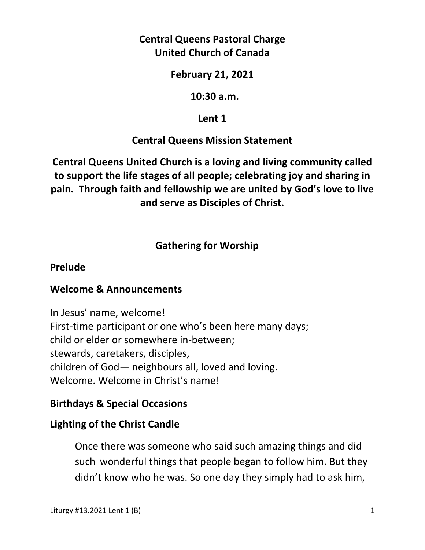## **Central Queens Pastoral Charge United Church of Canada**

### **February 21, 2021**

### **10:30 a.m.**

## **Lent 1**

## **Central Queens Mission Statement**

**Central Queens United Church is a loving and living community called to support the life stages of all people; celebrating joy and sharing in pain. Through faith and fellowship we are united by God's love to live and serve as Disciples of Christ.**

## **Gathering for Worship**

### **Prelude**

## **Welcome & Announcements**

In Jesus' name, welcome! First-time participant or one who's been here many days; child or elder or somewhere in-between; stewards, caretakers, disciples, children of God— neighbours all, loved and loving. Welcome. Welcome in Christ's name!

## **Birthdays & Special Occasions**

## **Lighting of the Christ Candle**

Once there was someone who said such amazing things and did such wonderful things that people began to follow him. But they didn't know who he was. So one day they simply had to ask him,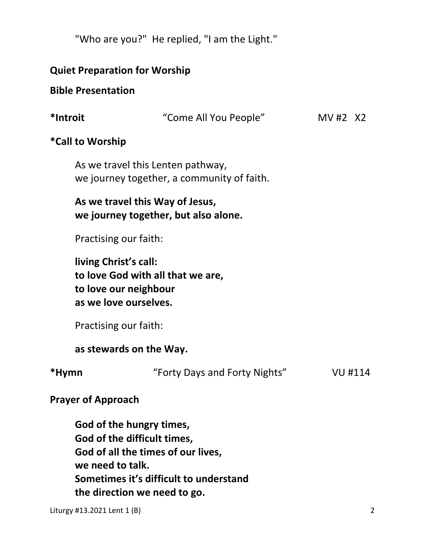"Who are you?" He replied, "I am the Light."

### **Quiet Preparation for Worship**

#### **Bible Presentation**

| *Introit | "Come All You People"                                                           | MV#2 $X2$ |  |
|----------|---------------------------------------------------------------------------------|-----------|--|
|          | *Call to Worship                                                                |           |  |
|          | As we travel this Lenten pathway,<br>we journey together, a community of faith. |           |  |
|          | As we travel this Way of Jesus,<br>we journey together, but also alone.         |           |  |
|          | Practising our faith:                                                           |           |  |

 **living Christ's call: to love God with all that we are, to love our neighbour as we love ourselves.** 

Practising our faith:

 **as stewards on the Way.** 

**\*Hymn** "Forty Days and Forty Nights" VU #114

### **Prayer of Approach**

**God of the hungry times, God of the difficult times, God of all the times of our lives, we need to talk. Sometimes it's difficult to understand the direction we need to go.**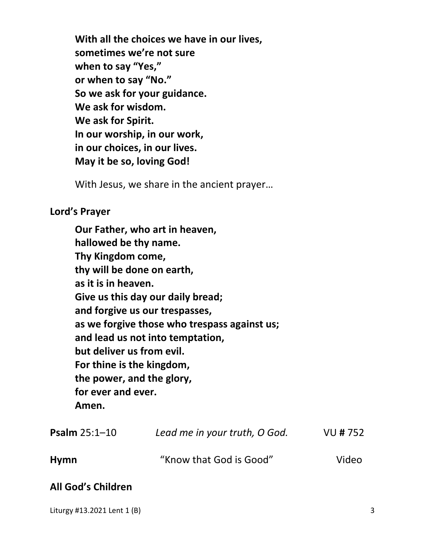**With all the choices we have in our lives, sometimes we're not sure when to say "Yes," or when to say "No." So we ask for your guidance. We ask for wisdom. We ask for Spirit. In our worship, in our work, in our choices, in our lives. May it be so, loving God!** 

With Jesus, we share in the ancient prayer…

### **Lord's Prayer**

**Our Father, who art in heaven, hallowed be thy name. Thy Kingdom come, thy will be done on earth, as it is in heaven. Give us this day our daily bread; and forgive us our trespasses, as we forgive those who trespass against us; and lead us not into temptation, but deliver us from evil. For thine is the kingdom, the power, and the glory, for ever and ever. Amen.** 

| <b>Psalm</b> $25:1 - 10$ | Lead me in your truth, O God. | VU # 752 |
|--------------------------|-------------------------------|----------|
| Hymn                     | "Know that God is Good"       | Video    |

## **All God's Children**

Liturgy #13.2021 Lent 1 (B) 3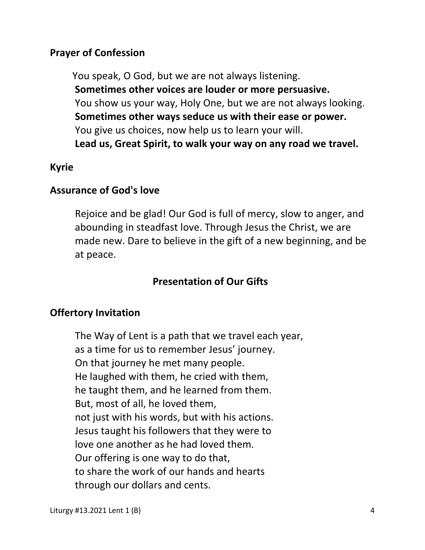### **Prayer of Confession**

You speak, O God, but we are not always listening.  **Sometimes other voices are louder or more persuasive.** You show us your way, Holy One, but we are not always looking.  **Sometimes other ways seduce us with their ease or power.** You give us choices, now help us to learn your will.  **Lead us, Great Spirit, to walk your way on any road we travel.**

### **Kyrie**

### **Assurance of God's love**

Rejoice and be glad! Our God is full of mercy, slow to anger, and abounding in steadfast love. Through Jesus the Christ, we are made new. Dare to believe in the gift of a new beginning, and be at peace.

## **Presentation of Our Gifts**

## **Offertory Invitation**

The Way of Lent is a path that we travel each year, as a time for us to remember Jesus' journey. On that journey he met many people. He laughed with them, he cried with them, he taught them, and he learned from them. But, most of all, he loved them, not just with his words, but with his actions. Jesus taught his followers that they were to love one another as he had loved them. Our offering is one way to do that, to share the work of our hands and hearts through our dollars and cents.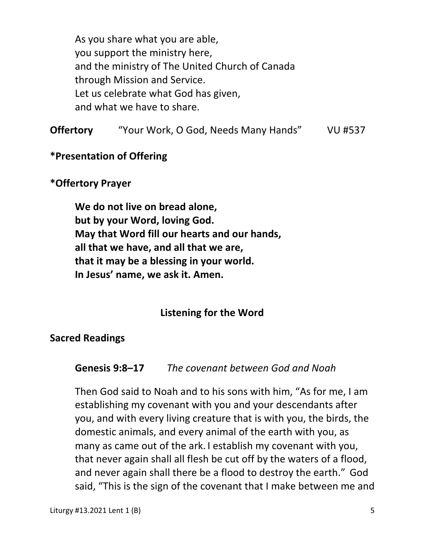As you share what you are able, you support the ministry here, and the ministry of The United Church of Canada through Mission and Service. Let us celebrate what God has given, and what we have to share.

**Offertory** "Your Work, O God, Needs Many Hands" VU #537

### **\*Presentation of Offering**

#### **\*Offertory Prayer**

 **We do not live on bread alone, but by your Word, loving God. May that Word fill our hearts and our hands, all that we have, and all that we are, that it may be a blessing in your world. In Jesus' name, we ask it. Amen.** 

#### **Listening for the Word**

#### **Sacred Readings**

#### **Genesis 9:8–17** *The covenant between God and Noah*

Then God said to Noah and to his sons with him, "As for me, I am establishing my covenant with you and your descendants after you, and with every living creature that is with you, the birds, the domestic animals, and every animal of the earth with you, as many as came out of the ark. I establish my covenant with you, that never again shall all flesh be cut off by the waters of a flood, and never again shall there be a flood to destroy the earth." God said, "This is the sign of the covenant that I make between me and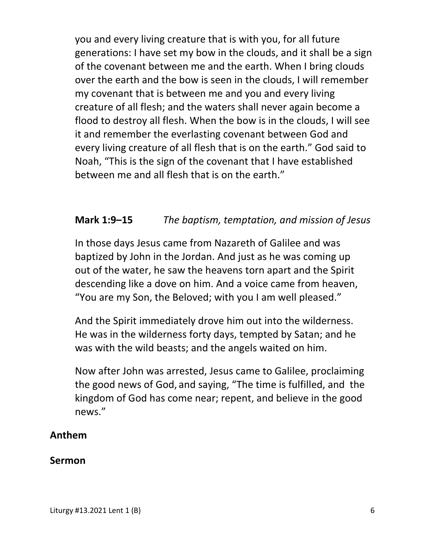you and every living creature that is with you, for all future generations: I have set my bow in the clouds, and it shall be a sign of the covenant between me and the earth. When I bring clouds over the earth and the bow is seen in the clouds, I will remember my covenant that is between me and you and every living creature of all flesh; and the waters shall never again become a flood to destroy all flesh. When the bow is in the clouds, I will see it and remember the everlasting covenant between God and every living creature of all flesh that is on the earth." God said to Noah, "This is the sign of the covenant that I have established between me and all flesh that is on the earth."

## **Mark 1:9–15** *The baptism, temptation, and mission of Jesus*

In those days Jesus came from Nazareth of Galilee and was baptized by John in the Jordan. And just as he was coming up out of the water, he saw the heavens torn apart and the Spirit descending like a dove on him. And a voice came from heaven, "You are my Son, the Beloved; with you I am well pleased."

And the Spirit immediately drove him out into the wilderness. He was in the wilderness forty days, tempted by Satan; and he was with the wild beasts; and the angels waited on him.

Now after John was arrested, Jesus came to Galilee, proclaiming the good news of God, and saying, "The time is fulfilled, and the kingdom of God has come near; repent, and believe in the good news."

## **Anthem**

#### **Sermon**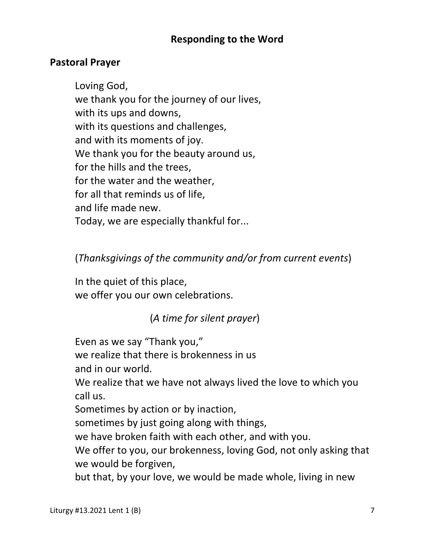## **Responding to the Word**

## **Pastoral Prayer**

 Loving God, we thank you for the journey of our lives, with its ups and downs, with its questions and challenges, and with its moments of joy. We thank you for the beauty around us, for the hills and the trees, for the water and the weather, for all that reminds us of life, and life made new. Today, we are especially thankful for...

## (*Thanksgivings of the community and/or from current events*)

 In the quiet of this place, we offer you our own celebrations.

## (*A time for silent prayer*)

Even as we say "Thank you,"

we realize that there is brokenness in us

and in our world.

 We realize that we have not always lived the love to which you call us.

Sometimes by action or by inaction,

sometimes by just going along with things,

we have broken faith with each other, and with you.

 We offer to you, our brokenness, loving God, not only asking that we would be forgiven,

but that, by your love, we would be made whole, living in new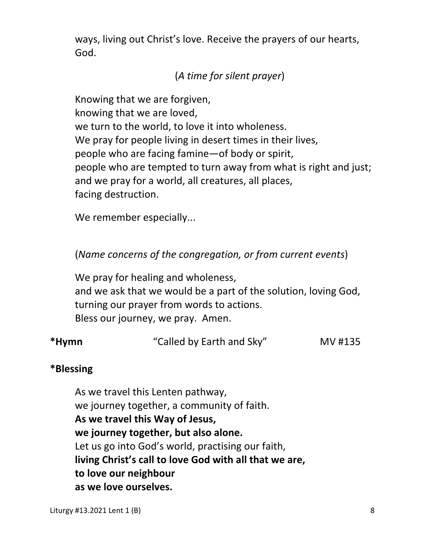ways, living out Christ's love. Receive the prayers of our hearts, God.

# (*A time for silent prayer*)

 Knowing that we are forgiven, knowing that we are loved, we turn to the world, to love it into wholeness. We pray for people living in desert times in their lives, people who are facing famine—of body or spirit, people who are tempted to turn away from what is right and just; and we pray for a world, all creatures, all places, facing destruction.

We remember especially...

(*Name concerns of the congregation, or from current events*)

 We pray for healing and wholeness, and we ask that we would be a part of the solution, loving God, turning our prayer from words to actions. Bless our journey, we pray. Amen.

| *Hymn | "Called by Earth and Sky" | MV #135 |
|-------|---------------------------|---------|
|-------|---------------------------|---------|

## **\*Blessing**

As we travel this Lenten pathway, we journey together, a community of faith. **As we travel this Way of Jesus, we journey together, but also alone.**  Let us go into God's world, practising our faith,  **living Christ's call to love God with all that we are, to love our neighbour as we love ourselves.**